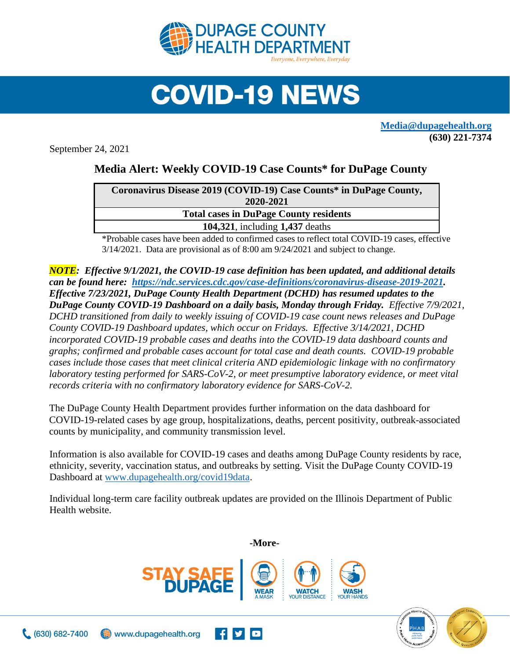

## **COVID-19 NEWS**

**[Media@dupagehealth.org](mailto:Media@dupagehealth.org) (630) 221-7374**

September 24, 2021

## **Media Alert: Weekly COVID-19 Case Counts\* for DuPage County**

| Coronavirus Disease 2019 (COVID-19) Case Counts* in DuPage County, |
|--------------------------------------------------------------------|
| 2020-2021                                                          |
| <b>Total cases in DuPage County residents</b>                      |
| 104,321, including 1,437 deaths                                    |
|                                                                    |

\*Probable cases have been added to confirmed cases to reflect total COVID-19 cases, effective 3/14/2021. Data are provisional as of 8:00 am 9/24/2021 and subject to change.

*NOTE: Effective 9/1/2021, the COVID-19 case definition has been updated, and additional details can be found here: [https://ndc.services.cdc.gov/case-definitions/coronavirus-disease-2019-2021.](https://ndc.services.cdc.gov/case-definitions/coronavirus-disease-2019-2021) Effective 7/23/2021, DuPage County Health Department (DCHD) has resumed updates to the DuPage County COVID-19 Dashboard on a daily basis, Monday through Friday. Effective 7/9/2021, DCHD transitioned from daily to weekly issuing of COVID-19 case count news releases and DuPage County COVID-19 Dashboard updates, which occur on Fridays. Effective 3/14/2021, DCHD incorporated COVID-19 probable cases and deaths into the [COVID-19 data dashboard](http://www.dupagehealth.org/covid19data) counts and graphs; confirmed and probable cases account for total case and death counts. COVID-19 probable cases include those cases that meet clinical criteria AND epidemiologic linkage with no confirmatory laboratory testing performed for SARS-CoV-2, or meet presumptive laboratory evidence, or meet vital records criteria with no confirmatory laboratory evidence for SARS-CoV-2.*

The DuPage County Health Department provides further information on the data dashboard for COVID-19-related cases by age group, hospitalizations, deaths, percent positivity, outbreak-associated counts by municipality, and community transmission level.

Information is also available for COVID-19 cases and deaths among DuPage County residents by race, ethnicity, severity, vaccination status, and outbreaks by setting. Visit the DuPage County COVID-19 Dashboard at [www.dupagehealth.org/covid19data.](http://www.dupagehealth.org/covid19data)

Individual long-term care facility outbreak updates are provided on the Illinois Department of Public Health website.



www.dupagehealth.org



**-More-**